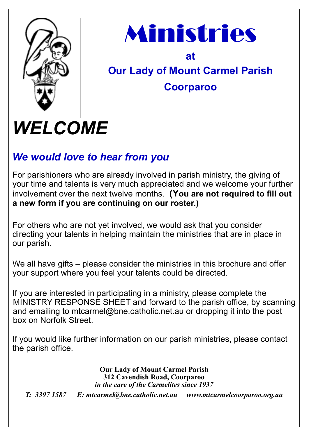



## **at Our Lady of Mount Carmel Parish Coorparoo**

# *WELCOME*

## *We would love to hear from you*

For parishioners who are already involved in parish ministry, the giving of your time and talents is very much appreciated and we welcome your further involvement over the next twelve months. **(You are not required to fill out a new form if you are continuing on our roster.)**

For others who are not yet involved, we would ask that you consider directing your talents in helping maintain the ministries that are in place in our parish.

We all have gifts – please consider the ministries in this brochure and offer your support where you feel your talents could be directed.

If you are interested in participating in a ministry, please complete the MINISTRY RESPONSE SHEET and forward to the parish office, by scanning and emailing to mtcarmel@bne.catholic.net.au or dropping it into the post box on Norfolk Street.

If you would like further information on our parish ministries, please contact the parish office.

> **Our Lady of Mount Carmel Parish 312 Cavendish Road, Coorparoo**  *in the care of the Carmelites since 1937*

*T: 3397 1587 E: mtcarmel@bne.catholic.net.au www.mtcarmelcoorparoo.org.au*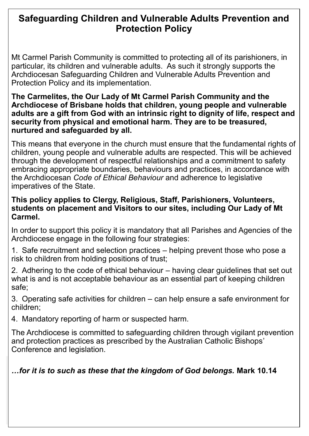### **Safeguarding Children and Vulnerable Adults Prevention and Protection Policy**

Mt Carmel Parish Community is committed to protecting all of its parishioners, in particular, its children and vulnerable adults. As such it strongly supports the Archdiocesan Safeguarding Children and Vulnerable Adults Prevention and Protection Policy and its implementation.

#### **The Carmelites, the Our Lady of Mt Carmel Parish Community and the Archdiocese of Brisbane holds that children, young people and vulnerable adults are a gift from God with an intrinsic right to dignity of life, respect and security from physical and emotional harm. They are to be treasured, nurtured and safeguarded by all.**

This means that everyone in the church must ensure that the fundamental rights of children, young people and vulnerable adults are respected. This will be achieved through the development of respectful relationships and a commitment to safety embracing appropriate boundaries, behaviours and practices, in accordance with the Archdiocesan *Code of Ethical Behaviour* and adherence to legislative imperatives of the State.

#### **This policy applies to Clergy, Religious, Staff, Parishioners, Volunteers, students on placement and Visitors to our sites, including Our Lady of Mt Carmel.**

In order to support this policy it is mandatory that all Parishes and Agencies of the Archdiocese engage in the following four strategies:

1. Safe recruitment and selection practices – helping prevent those who pose a risk to children from holding positions of trust;

2. Adhering to the code of ethical behaviour – having clear guidelines that set out what is and is not acceptable behaviour as an essential part of keeping children safe;

3. Operating safe activities for children – can help ensure a safe environment for children;

4. Mandatory reporting of harm or suspected harm.

The Archdiocese is committed to safeguarding children through vigilant prevention and protection practices as prescribed by the Australian Catholic Bishops' Conference and legislation.

*…for it is to such as these that the kingdom of God belongs.* **Mark 10.14**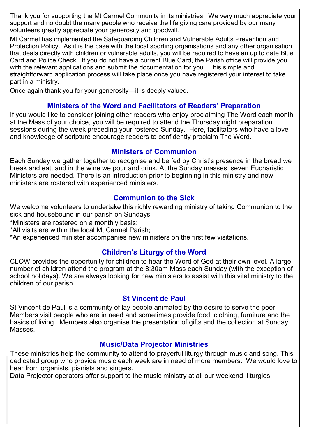Thank you for supporting the Mt Carmel Community in its ministries. We very much appreciate your support and no doubt the many people who receive the life giving care provided by our many volunteers greatly appreciate your generosity and goodwill.

Mt Carmel has implemented the Safeguarding Children and Vulnerable Adults Prevention and Protection Policy. As it is the case with the local sporting organisations and any other organisation that deals directly with children or vulnerable adults, you will be required to have an up to date Blue Card and Police Check. If you do not have a current Blue Card, the Parish office will provide you with the relevant applications and submit the documentation for you. This simple and straightforward application process will take place once you have registered your interest to take part in a ministry.

Once again thank you for your generosity—it is deeply valued.

#### **Ministers of the Word and Facilitators of Readers' Preparation**

If you would like to consider joining other readers who enjoy proclaiming The Word each month at the Mass of your choice, you will be required to attend the Thursday night preparation sessions during the week preceding your rostered Sunday. Here, facilitators who have a love and knowledge of scripture encourage readers to confidently proclaim The Word.

#### **Ministers of Communion**

Each Sunday we gather together to recognise and be fed by Christ's presence in the bread we break and eat, and in the wine we pour and drink. At the Sunday masses seven Eucharistic Ministers are needed. There is an introduction prior to beginning in this ministry and new ministers are rostered with experienced ministers.

#### **Communion to the Sick**

We welcome volunteers to undertake this richly rewarding ministry of taking Communion to the sick and housebound in our parish on Sundays.

\*Ministers are rostered on a monthly basis;

\*All visits are within the local Mt Carmel Parish;

\*An experienced minister accompanies new ministers on the first few visitations.

#### **Children's Liturgy of the Word**

CLOW provides the opportunity for children to hear the Word of God at their own level. A large number of children attend the program at the 8:30am Mass each Sunday (with the exception of school holidays). We are always looking for new ministers to assist with this vital ministry to the children of our parish.

#### **St Vincent de Paul**

St Vincent de Paul is a community of lay people animated by the desire to serve the poor. Members visit people who are in need and sometimes provide food, clothing, furniture and the basics of living. Members also organise the presentation of gifts and the collection at Sunday Masses.

#### **Music/Data Projector Ministries**

These ministries help the community to attend to prayerful liturgy through music and song. This dedicated group who provide music each week are in need of more members. We would love to hear from organists, pianists and singers.

Data Projector operators offer support to the music ministry at all our weekend liturgies.